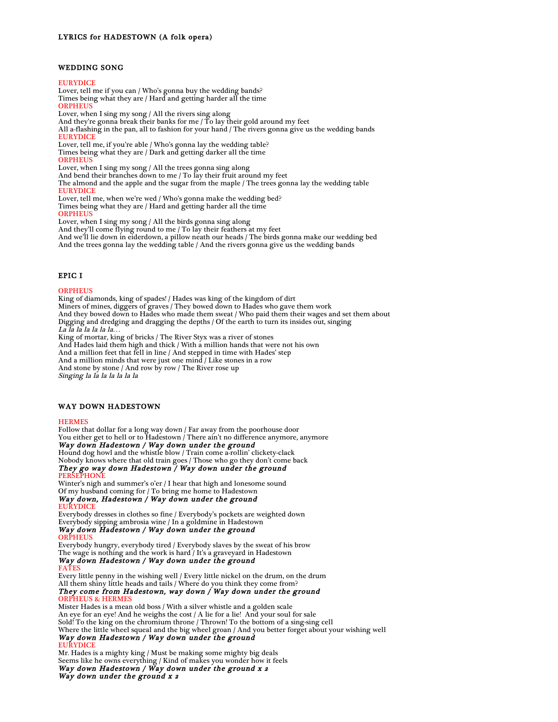## WEDDING SONG

**EURYDICE** Lover, tell me if you can / Who's gonna buy the wedding bands? Times being what they are / Hard and getting harder all the time **ORPHEUS** Lover, when I sing my song / All the rivers sing along And they're gonna break their banks for me / To lay their gold around my feet All a-flashing in the pan, all to fashion for your hand / The rivers gonna give us the wedding bands EURYDICE Lover, tell me, if you're able / Who's gonna lay the wedding table? Times being what they are / Dark and getting darker all the time **ORPHEUS** Lover, when I sing my song / All the trees gonna sing along And bend their branches down to me / To lay their fruit around my feet The almond and the apple and the sugar from the maple / The trees gonna lay the wedding table EURYDICE Lover, tell me, when we're wed / Who's gonna make the wedding bed? Times being what they are / Hard and getting harder all the time **ORPHEUS** Lover, when I sing my song / All the birds gonna sing along And they'll come flying round to me / To lay their feathers at my feet And we'll lie down in eiderdown, a pillow neath our heads / The birds gonna make our wedding bed And the trees gonna lay the wedding table / And the rivers gonna give us the wedding bands EPIC I **ORPHEUS** 

King of diamonds, king of spades! / Hades was king of the kingdom of dirt Miners of mines, diggers of graves / They bowed down to Hades who gave them work And they bowed down to Hades who made them sweat / Who paid them their wages and set them about Digging and dredging and dragging the depths / Of the earth to turn its insides out, singing La la la la la la la… King of mortar, king of bricks / The River Styx was a river of stones And Hades laid them high and thick / With a million hands that were not his own And a million feet that fell in line / And stepped in time with Hades' step And a million minds that were just one mind / Like stones in a row And stone by stone / And row by row / The River rose up

Singing la la la la la la la

# WAY DOWN HADESTOWN

### **HERMES**

Follow that dollar for a long way down / Far away from the poorhouse door You either get to hell or to Hadestown / There ain't no difference anymore, anymore Way down Hadestown / Way down under the ground Hound dog howl and the whistle blow / Train come a-rollin' clickety-clack Nobody knows where that old train goes / Those who go they don't come back They go way down Hadestown / Way down under the ground PERSEPHONE Winter's nigh and summer's o'er / I hear that high and lonesome sound Of my husband coming for / To bring me home to Hadestown Way down, Hadestown / Way down under the ground EURYDICE Everybody dresses in clothes so fine / Everybody's pockets are weighted down Everybody sipping ambrosia wine / In a goldmine in Hadestown Way down Hadestown / Way down under the ground ORPHEUS Everybody hungry, everybody tired / Everybody slaves by the sweat of his brow The wage is nothing and the work is hard / It's a graveyard in Hadestown Way down Hadestown / Way down under the ground FATES Every little penny in the wishing well / Every little nickel on the drum, on the drum All them shiny little heads and tails / Where do you think they come from? They come from Hadestown, way down / Way down under the ground ORPHEUS & HERMES Mister Hades is a mean old boss / With a silver whistle and a golden scale An eye for an eye! And he weighs the cost / A lie for a lie! And your soul for sale Sold! To the king on the chromium throne / Thrown! To the bottom of a sing-sing cell Where the little wheel squeal and the big wheel groan / And you better forget about your wishing well Way down Hadestown / Way down under the ground EURYDICE Mr. Hades is a mighty king / Must be making some mighty big deals Seems like he owns everything / Kind of makes you wonder how it feels Way down Hadestown / Way down under the ground x 2

Way down under the ground x 2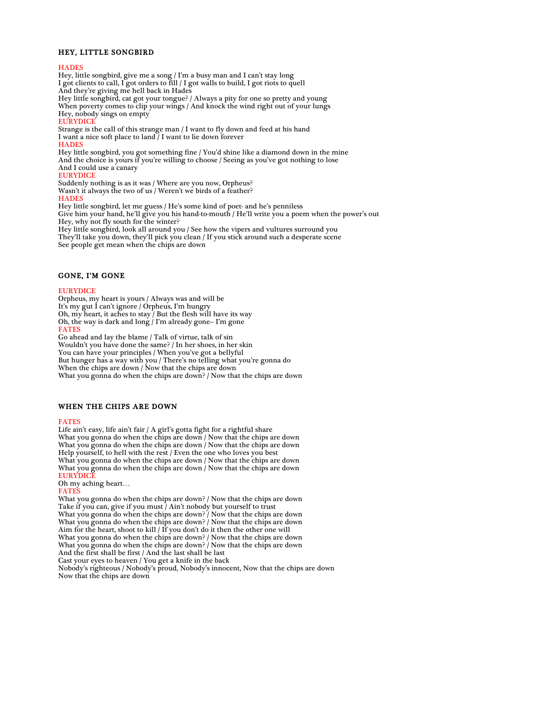## HEY, LITTLE SONGBIRD

### **HADES**

Hey, little songbird, give me a song / I'm a busy man and I can't stay long I got clients to call, I got orders to fill / I got walls to build, I got riots to quell And they're giving me hell back in Hades Hey little songbird, cat got your tongue? / Always a pity for one so pretty and young When poverty comes to clip your wings / And knock the wind right out of your lungs Hey, nobody sings on empty **EURYDICE** Strange is the call of this strange man / I want to fly down and feed at his hand I want a nice soft place to land / I want to lie down forever **HADES** Hey little songbird, you got something fine / You'd shine like a diamond down in the mine And the choice is yours if you're willing to choose / Seeing as you've got nothing to lose And I could use a canary **EURYDICE** Suddenly nothing is as it was / Where are you now, Orpheus? Wasn't it always the two of us / Weren't we birds of a feather? HADES Hey little songbird, let me guess / He's some kind of poet- and he's penniless Give him your hand, he'll give you his hand-to-mouth / He'll write you a poem when the power's out Hey, why not fly south for the winter?

Hey little songbird, look all around you / See how the vipers and vultures surround you They'll take you down, they'll pick you clean / If you stick around such a desperate scene See people get mean when the chips are down

## GONE, I'M GONE

### EURYDICE

Orpheus, my heart is yours / Always was and will be It's my gut I can't ignore / Orpheus, I'm hungr Oh, my heart, it aches to stay  $\int$  But the flesh will have its way Oh, the way is dark and long / I'm already gone-- I'm gone FATES Go ahead and lay the blame / Talk of virtue, talk of sin Wouldn't you have done the same? / In her shoes, in her skin You can have your principles / When you've got a bellyful But hunger has a way with you / There's no telling what you're gonna do When the chips are down / Now that the chips are down What you gonna do when the chips are down? / Now that the chips are down

WHEN THE CHIPS ARE DOWN

### FATES

Life ain't easy, life ain't fair / A girl's gotta fight for a rightful share What you gonna do when the chips are down / Now that the chips are down What you gonna do when the chips are down / Now that the chips are down Help yourself, to hell with the rest / Even the one who loves you best What you gonna do when the chips are down / Now that the chips are down What you gonna do when the chips are down / Now that the chips are down **EURYDIC** 

Oh my aching heart…

FATES

What you gonna do when the chips are down? / Now that the chips are down Take if you can, give if you must  $\hat{ }/$  Ain't nobody but yourself to trust What you gonna do when the chips are down? / Now that the chips are down What you gonna do when the chips are down? / Now that the chips are down Aim for the heart, shoot to kill / If you don't do it then the other one will What you gonna do when the chips are down? / Now that the chips are down What you gonna do when the chips are down? / Now that the chips are down And the first shall be first / And the last shall be last

Cast your eyes to heaven  $/$  You get a knife in the back

Nobody's righteous / Nobody's proud, Nobody's innocent, Now that the chips are down Now that the chips are down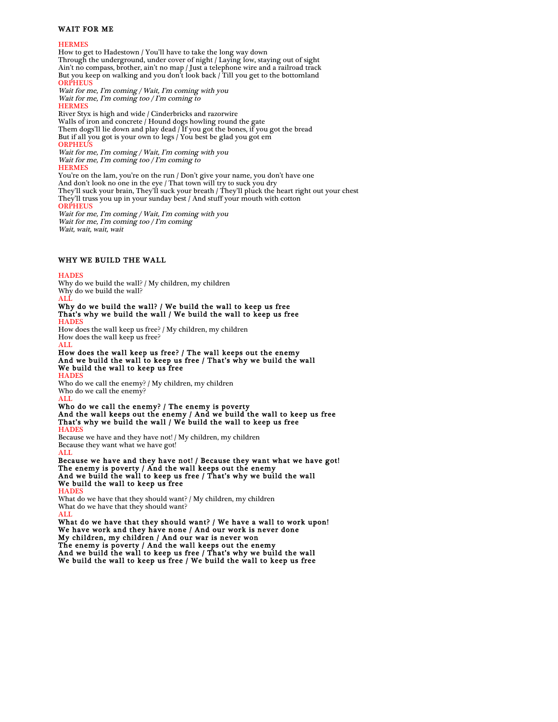# WAIT FOR ME

## HERMES

How to get to Hadestown / You'll have to take the long way down Through the underground, under cover of night / Laying low, staying out of sight Ain't no compass, brother, ain't no map / Just a telephone wire and a railroad track But you keep on walking and you don't look back / Till you get to the bottomland **ORPHEUS** Wait for me, I'm coming / Wait, I'm coming with you Wait for me, I'm coming too / I'm coming to **HERMES** River Styx is high and wide / Cinderbricks and razorwire Walls of iron and concrete / Hound dogs howling round the gate Them dogs'll lie down and play dead / If you got the bones, if you got the bread But if all you got is your own to legs / You best be glad you got em **ORPHEUS** Wait for me, I'm coming / Wait, I'm coming with you Wait for me, I'm coming too / I'm coming to **HERMES** You're on the lam, you're on the run / Don't give your name, you don't have one And don't look no one in the eye / That town will try to suck you dry They'll suck your brain, They'll suck your breath / They'll pluck the heart right out your chest They'll truss you up in your sunday best / And stuff your mouth with cotton **ORPHEUS** Wait for me, I'm coming / Wait, I'm coming with you Wait for me, I'm coming too / I'm coming Wait, wait, wait, wait

## WHY WE BUILD THE WALL

**HADES** 

Why do we build the wall? / My children, my children Why do we build the wall? ALL Why do we build the wall? / We build the wall to keep us free That's why we build the wall / We build the wall to keep us free HADES How does the wall keep us free? / My children, my children How does the wall keep us free? ALL How does the wall keep us free? / The wall keeps out the enemy And we build the wall to keep us free / That's why we build the wall We build the wall to keep us free **HADES** Who do we call the enemy? / My children, my children Who do we call the enemy? ALL Who do we call the enemy? / The enemy is poverty And the wall keeps out the enemy / And we build the wall to keep us free That's why we build the wall / We build the wall to keep us free **HADES** Because we have and they have not! / My children, my children Because they want what we have got! ALL Because we have and they have not! / Because they want what we have got! The enemy is poverty / And the wall keeps out the enemy And we build the wall to keep us free / That's why we build the wall We build the wall to keep us free **HADE** What do we have that they should want? / My children, my children What do we have that they should want? ALL What do we have that they should want? / We have a wall to work upon! We have work and they have none / And our work is never done My children, my children / And our war is never won The enemy is poverty / And the wall keeps out the enemy

And we build the wall to keep us free / That's why we build the wall We build the wall to keep us free / We build the wall to keep us free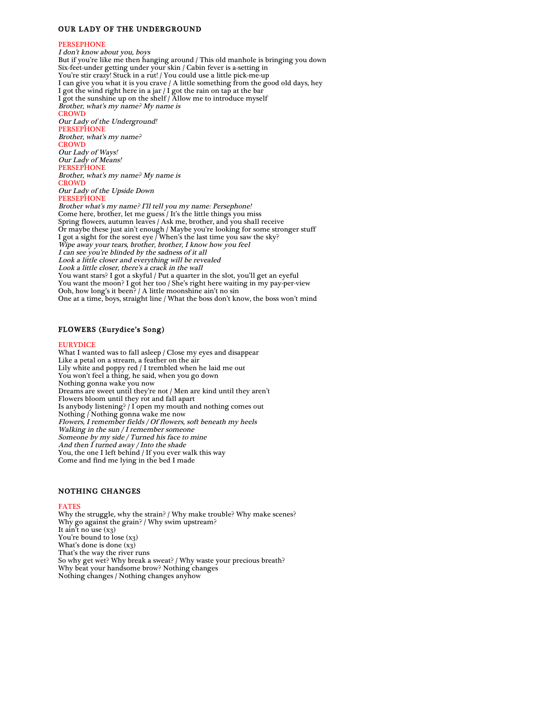## OUR LADY OF THE UNDERGROUND

### PERSEPHONE

I don't know about you, boys But if you're like me then hanging around / This old manhole is bringing you down Six-feet-under getting under your skin / Cabin fever is a-setting in You're stir crazy! Stuck in a rut! / You could use a little pick-me-up I can give you what it is you crave / A little something from the good old days, hey I got the wind right here in a jar / I got the rain on tap at the bar I got the sunshine up on the shelf / Allow me to introduce myself Brother, what's my name? My name is **CROWD** Our Lady of the Underground! **PERSEPHONE** Brother, what's my name? **CROWD** Our Lady of Ways! Our Lady of Means! PERSEPHONE Brother, what's my name? My name is **CROWD** Our Lady of the Upside Down PERSEPHONE Brother what's my name? I'll tell you my name: Persephone! Come here, brother, let me guess / It's the little things you miss Spring flowers, autumn leaves / Ask me, brother, and you shall receive Or maybe these just ain't enough / Maybe you're looking for some stronger stuff I got a sight for the sorest eye / When's the last time you saw the sky? Wipe away your tears, brother, brother, I know how you feel I can see you're blinded by the sadness of it all Look a little closer and everything will be revealed Look a little closer, there's a crack in the wall You want stars? I got a skyful / Put a quarter in the slot, you'll get an eyeful You want the moon? I got her too / She's right here waiting in my pay-per-view Ooh, how long's it been? / A little moonshine ain't no sin One at a time, boys, straight line / What the boss don't know, the boss won't mind

# FLOWERS (Eurydice's Song)

### **EURYDICE**

What I wanted was to fall asleep / Close my eyes and disappear Like a petal on a stream, a feather on the air Lily white and poppy red / I trembled when he laid me out You won't feel a thing, he said, when you go down Nothing gonna wake you now Dreams are sweet until they're not / Men are kind until they aren't Flowers bloom until they rot and fall apart Is anybody listening? / I open my mouth and nothing comes out Nothing / Nothing gonna wake me now Flowers, I remember fields / Of flowers, soft beneath my heels Walking in the sun / I remember someone Someone by my side / Turned his face to mine And then I turned away / Into the shade You, the one I left behind / If you ever walk this way Come and find me lying in the bed I made

## NOTHING CHANGES

#### FATES

Why the struggle, why the strain? / Why make trouble? Why make scenes? Why go against the grain? / Why swim upstream? It ain't no use  $(x_3)$ You're bound to lose (x3) What's done is done (x3) That's the way the river runs So why get wet? Why break a sweat? / Why waste your precious breath? Why beat your handsome brow? Nothing changes Nothing changes / Nothing changes anyhow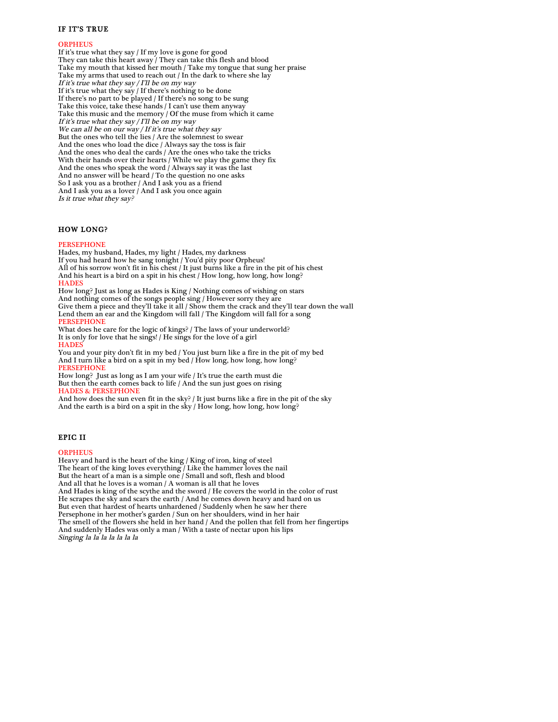## IF IT'S TRUE

### **ORPHEUS**

If it's true what they say / If my love is gone for good They can take this heart away / They can take this flesh and blood Take my mouth that kissed her mouth / Take my tongue that sung her praise Take my arms that used to reach out / In the dark to where she lay If it's true what they say / I'll be on my way If it's true what they say / If there's nothing to be done If there's no part to be played / If there's no song to be sung Take this voice, take these hands / I can't use them anyway Take this music and the memory / Of the muse from which it came If it's true what they say / I'll be on my way We can all be on our way / If it's true what they say But the ones who tell the lies / Are the solemnest to swear And the ones who load the dice / Always say the toss is fair And the ones who deal the cards / Are the ones who take the tricks With their hands over their hearts / While we play the game they fix And the ones who speak the word / Always say it was the last And no answer will be heard / To the question no one asks So I ask you as a brother / And I ask you as a friend And I ask you as a lover / And I ask you once again Is it true what they say?

## HOW LONG?

### **PERSEPHONE**

Hades, my husband, Hades, my light / Hades, my darkness If you had heard how he sang tonight / You'd pity poor Orpheus! All of his sorrow won't fit in his chest / It just burns like a fire in the pit of his chest And his heart is a bird on a spit in his chest / How long, how long, how long? HADES How long? Just as long as Hades is King / Nothing comes of wishing on stars

And nothing comes of the songs people sing / However sorry they are Give them a piece and they'll take it all / Show them the crack and they'll tear down the wall Lend them an ear and the Kingdom will fall / The Kingdom will fall for a song **PERSEPHONE** 

What does he care for the logic of kings? / The laws of your underworld? It is only for love that he sings! / He sings for the love of a girl **HADES** 

You and your pity don't fit in my bed / You just burn like a fire in the pit of my bed And I turn like a bird on a spit in my bed / How long, how long, how long? PERSEPHONE

How long? Just as long as I am your wife / It's true the earth must die But then the earth comes back to life / And the sun just goes on rising HADES & PERSEPHONE

And how does the sun even fit in the sky? / It just burns like a fire in the pit of the sky And the earth is a bird on a spit in the sky / How long, how long, how long?

# EPIC II

### **ORPHEUS**

Heavy and hard is the heart of the king / King of iron, king of steel The heart of the king loves everything / Like the hammer loves the nail But the heart of a man is a simple one / Small and soft, flesh and blood And all that he loves is a woman / A woman is all that he loves And Hades is king of the scythe and the sword / He covers the world in the color of rust He scrapes the sky and scars the earth / And he comes down heavy and hard on us But even that hardest of hearts unhardened / Suddenly when he saw her there Persephone in her mother's garden / Sun on her shoulders, wind in her hair The smell of the flowers she held in her hand / And the pollen that fell from her fingertips And suddenly Hades was only a man / With a taste of nectar upon his lips Singing la la la la la la la